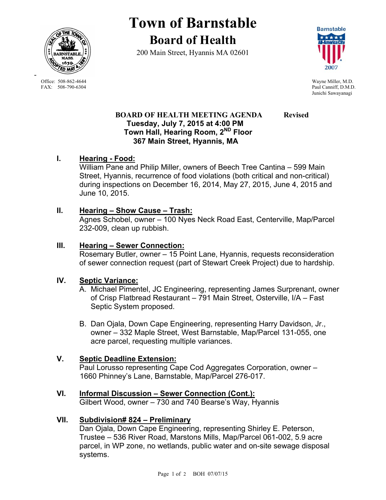

**Town of Barnstable Board of Health**

200 Main Street, Hyannis MA 02601



Paul Canniff, D.M.D. Junichi Sawayanagi

## **BOARD OF HEALTH MEETING AGENDA Revised Tuesday, July 7, 2015 at 4:00 PM Town Hall, Hearing Room, 2ND Floor 367 Main Street, Hyannis, MA**

# **I. Hearing - Food:**

William Pane and Philip Miller, owners of Beech Tree Cantina – 599 Main Street, Hyannis, recurrence of food violations (both critical and non-critical) during inspections on December 16, 2014, May 27, 2015, June 4, 2015 and June 10, 2015.

# **II. Hearing – Show Cause – Trash:**

Agnes Schobel, owner – 100 Nyes Neck Road East, Centerville, Map/Parcel 232-009, clean up rubbish.

### **III. Hearing – Sewer Connection:**

Rosemary Butler, owner – 15 Point Lane, Hyannis, requests reconsideration of sewer connection request (part of Stewart Creek Project) due to hardship.

# **IV. Septic Variance:**

- A. Michael Pimentel, JC Engineering, representing James Surprenant, owner of Crisp Flatbread Restaurant – 791 Main Street, Osterville, I/A – Fast Septic System proposed.
- B. Dan Ojala, Down Cape Engineering, representing Harry Davidson, Jr., owner – 332 Maple Street, West Barnstable, Map/Parcel 131-055, one acre parcel, requesting multiple variances.

# **V. Septic Deadline Extension:**

Paul Lorusso representing Cape Cod Aggregates Corporation, owner – 1660 Phinney's Lane, Barnstable, Map/Parcel 276-017.

# **VI. Informal Discussion – Sewer Connection (Cont.):**

Gilbert Wood, owner – 730 and 740 Bearse's Way, Hyannis

# **VII. Subdivision# 824 – Preliminary**

Dan Ojala, Down Cape Engineering, representing Shirley E. Peterson, Trustee – 536 River Road, Marstons Mills, Map/Parcel 061-002, 5.9 acre parcel, in WP zone, no wetlands, public water and on-site sewage disposal systems.

Office: 508-862-4644 Wayne Miller, M.D.<br>
FAX: 508-790-6304 Paul Canniff. D.M.D

-